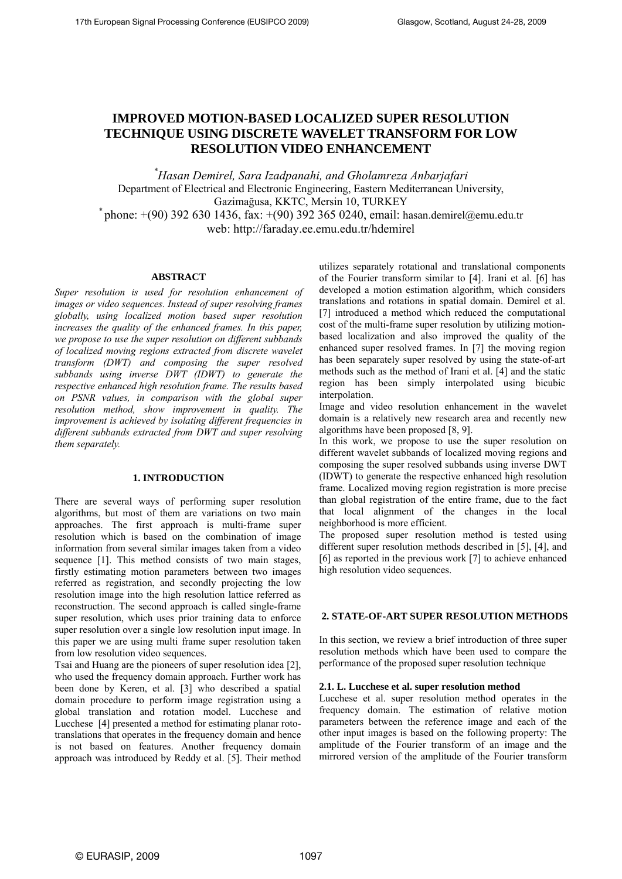# **IMPROVED MOTION-BASED LOCALIZED SUPER RESOLUTION TECHNIQUE USING DISCRETE WAVELET TRANSFORM FOR LOW RESOLUTION VIDEO ENHANCEMENT**

*\* Hasan Demirel, Sara Izadpanahi, and Gholamreza Anbarjafari*  Department of Electrical and Electronic Engineering, Eastern Mediterranean University, Gazimağusa, KKTC, Mersin 10, TURKEY *\** phone: +(90) 392 630 1436, fax: +(90) 392 365 0240, email: hasan.demirel@emu.edu.tr web: http://faraday.ee.emu.edu.tr/hdemirel

## **ABSTRACT**

*Super resolution is used for resolution enhancement of images or video sequences. Instead of super resolving frames globally, using localized motion based super resolution increases the quality of the enhanced frames. In this paper, we propose to use the super resolution on different subbands of localized moving regions extracted from discrete wavelet transform (DWT) and composing the super resolved subbands using inverse DWT (IDWT) to generate the respective enhanced high resolution frame. The results based on PSNR values, in comparison with the global super resolution method, show improvement in quality. The improvement is achieved by isolating different frequencies in different subbands extracted from DWT and super resolving them separately.* 

# **1. INTRODUCTION**

There are several ways of performing super resolution algorithms, but most of them are variations on two main approaches. The first approach is multi-frame super resolution which is based on the combination of image information from several similar images taken from a video sequence [1]. This method consists of two main stages, firstly estimating motion parameters between two images referred as registration, and secondly projecting the low resolution image into the high resolution lattice referred as reconstruction. The second approach is called single-frame super resolution, which uses prior training data to enforce super resolution over a single low resolution input image. In this paper we are using multi frame super resolution taken from low resolution video sequences.

Tsai and Huang are the pioneers of super resolution idea [2], who used the frequency domain approach. Further work has been done by Keren, et al. [3] who described a spatial domain procedure to perform image registration using a global translation and rotation model. Lucchese and Lucchese [4] presented a method for estimating planar rototranslations that operates in the frequency domain and hence is not based on features. Another frequency domain approach was introduced by Reddy et al. [5]. Their method utilizes separately rotational and translational components of the Fourier transform similar to [4]. Irani et al. [6] has developed a motion estimation algorithm, which considers translations and rotations in spatial domain. Demirel et al. [7] introduced a method which reduced the computational cost of the multi-frame super resolution by utilizing motionbased localization and also improved the quality of the enhanced super resolved frames. In [7] the moving region has been separately super resolved by using the state-of-art methods such as the method of Irani et al. [4] and the static region has been simply interpolated using bicubic interpolation.

Image and video resolution enhancement in the wavelet domain is a relatively new research area and recently new algorithms have been proposed [8, 9].

In this work, we propose to use the super resolution on different wavelet subbands of localized moving regions and composing the super resolved subbands using inverse DWT (IDWT) to generate the respective enhanced high resolution frame. Localized moving region registration is more precise than global registration of the entire frame, due to the fact that local alignment of the changes in the local neighborhood is more efficient.

The proposed super resolution method is tested using different super resolution methods described in [5], [4], and [6] as reported in the previous work [7] to achieve enhanced high resolution video sequences.

# **2. STATE-OF-ART SUPER RESOLUTION METHODS**

In this section, we review a brief introduction of three super resolution methods which have been used to compare the performance of the proposed super resolution technique

## **2.1. L. Lucchese et al. super resolution method**

Lucchese et al. super resolution method operates in the frequency domain. The estimation of relative motion parameters between the reference image and each of the other input images is based on the following property: The amplitude of the Fourier transform of an image and the mirrored version of the amplitude of the Fourier transform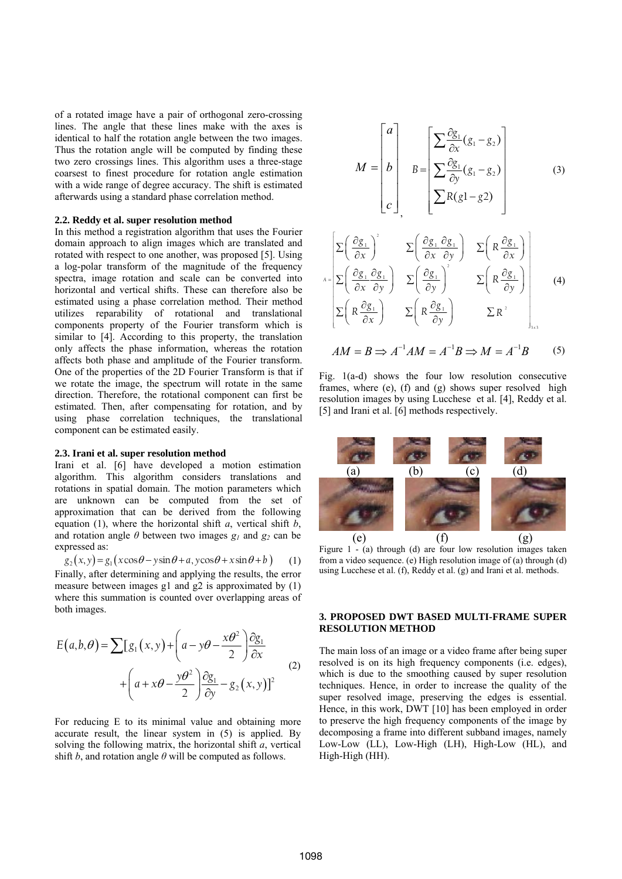of a rotated image have a pair of orthogonal zero-crossing lines. The angle that these lines make with the axes is identical to half the rotation angle between the two images. Thus the rotation angle will be computed by finding these two zero crossings lines. This algorithm uses a three-stage coarsest to finest procedure for rotation angle estimation with a wide range of degree accuracy. The shift is estimated afterwards using a standard phase correlation method.

# **2.2. Reddy et al. super resolution method**

In this method a registration algorithm that uses the Fourier domain approach to align images which are translated and rotated with respect to one another, was proposed [5]. Using a log-polar transform of the magnitude of the frequency spectra, image rotation and scale can be converted into horizontal and vertical shifts. These can therefore also be estimated using a phase correlation method. Their method utilizes reparability of rotational and translational components property of the Fourier transform which is similar to [4]. According to this property, the translation only affects the phase information, whereas the rotation affects both phase and amplitude of the Fourier transform. One of the properties of the 2D Fourier Transform is that if we rotate the image, the spectrum will rotate in the same direction. Therefore, the rotational component can first be estimated. Then, after compensating for rotation, and by using phase correlation techniques, the translational component can be estimated easily.

#### **2.3. Irani et al. super resolution method**

Irani et al. [6] have developed a motion estimation algorithm. This algorithm considers translations and rotations in spatial domain. The motion parameters which are unknown can be computed from the set of approximation that can be derived from the following equation (1), where the horizontal shift *a*, vertical shift *b*, and rotation angle  $\theta$  between two images  $g_1$  and  $g_2$  can be expressed as:

$$
g_2(x, y) = g_1(x\cos\theta - y\sin\theta + a, y\cos\theta + x\sin\theta + b)
$$
 (1)

Finally, after determining and applying the results, the error measure between images g1 and g2 is approximated by (1) where this summation is counted over overlapping areas of both images.

$$
E(a,b,\theta) = \sum [g_1(x,y) + \left(a - y\theta - \frac{x\theta^2}{2}\right)\frac{\partial g_1}{\partial x} + \left(a + x\theta - \frac{y\theta^2}{2}\right)\frac{\partial g_1}{\partial y} - g_2(x,y)]^2
$$
\n(2)

For reducing E to its minimal value and obtaining more accurate result, the linear system in (5) is applied. By solving the following matrix, the horizontal shift *a*, vertical shift *b*, and rotation angle  $\theta$  will be computed as follows.

$$
M = \begin{bmatrix} a \\ b \\ c \end{bmatrix}, B = \begin{bmatrix} \sum \frac{\partial g_1}{\partial x} (g_1 - g_2) \\ \sum \frac{\partial g_1}{\partial y} (g_1 - g_2) \\ \sum R(g1 - g2) \end{bmatrix}
$$
(3)

$$
\Sigma\left(\frac{\partial g_1}{\partial x}\right)^2 \qquad \Sigma\left(\frac{\partial g_1}{\partial x}\frac{\partial g_1}{\partial y}\right) \qquad \Sigma\left(R\frac{\partial g_1}{\partial x}\right)
$$
\n
$$
\Sigma\left(\frac{\partial g_1}{\partial x}\frac{\partial g_1}{\partial y}\right) \qquad \Sigma\left(\frac{\partial g_1}{\partial y}\right)^2 \qquad \Sigma\left(R\frac{\partial g_1}{\partial y}\right)
$$
\n
$$
\Sigma\left(R\frac{\partial g_1}{\partial x}\right) \qquad \Sigma\left(R\frac{\partial g_1}{\partial y}\right) \qquad \Sigma R^2
$$
\n(4)

$$
AM = B \Rightarrow A^{-1}AM = A^{-1}B \Rightarrow M = A^{-1}B \tag{5}
$$

Fig. 1(a-d) shows the four low resolution consecutive frames, where (e), (f) and (g) shows super resolved high resolution images by using Lucchese et al. [4], Reddy et al. [5] and Irani et al. [6] methods respectively.



Figure 1 - (a) through (d) are four low resolution images taken from a video sequence. (e) High resolution image of (a) through (d) using Lucchese et al. (f), Reddy et al. (g) and Irani et al. methods.

# **3. PROPOSED DWT BASED MULTI-FRAME SUPER RESOLUTION METHOD**

The main loss of an image or a video frame after being super resolved is on its high frequency components (i.e. edges), which is due to the smoothing caused by super resolution techniques. Hence, in order to increase the quality of the super resolved image, preserving the edges is essential. Hence, in this work, DWT [10] has been employed in order to preserve the high frequency components of the image by decomposing a frame into different subband images, namely Low-Low (LL), Low-High (LH), High-Low (HL), and High-High (HH).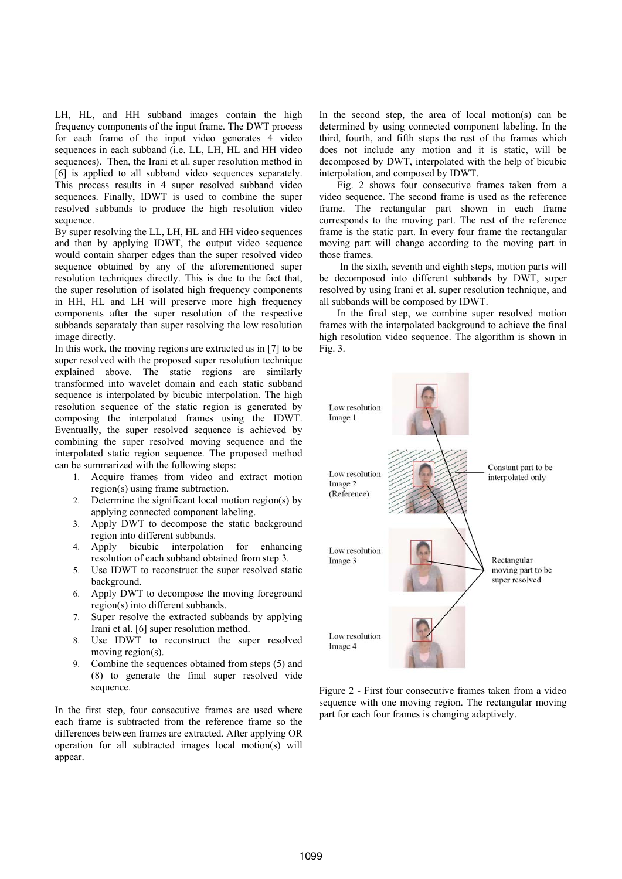LH, HL, and HH subband images contain the high frequency components of the input frame. The DWT process for each frame of the input video generates 4 video sequences in each subband (i.e. LL, LH, HL and HH video sequences). Then, the Irani et al. super resolution method in [6] is applied to all subband video sequences separately. This process results in 4 super resolved subband video sequences. Finally, IDWT is used to combine the super resolved subbands to produce the high resolution video sequence.

By super resolving the LL, LH, HL and HH video sequences and then by applying IDWT, the output video sequence would contain sharper edges than the super resolved video sequence obtained by any of the aforementioned super resolution techniques directly. This is due to the fact that, the super resolution of isolated high frequency components in HH, HL and LH will preserve more high frequency components after the super resolution of the respective subbands separately than super resolving the low resolution image directly.

In this work, the moving regions are extracted as in [7] to be super resolved with the proposed super resolution technique explained above. The static regions are similarly transformed into wavelet domain and each static subband sequence is interpolated by bicubic interpolation. The high resolution sequence of the static region is generated by composing the interpolated frames using the IDWT. Eventually, the super resolved sequence is achieved by combining the super resolved moving sequence and the interpolated static region sequence. The proposed method can be summarized with the following steps:

- 1. Acquire frames from video and extract motion region(s) using frame subtraction.
- 2. Determine the significant local motion region(s) by applying connected component labeling.
- 3. Apply DWT to decompose the static background region into different subbands.
- 4. Apply bicubic interpolation for enhancing resolution of each subband obtained from step 3.
- 5. Use IDWT to reconstruct the super resolved static background.
- 6. Apply DWT to decompose the moving foreground region(s) into different subbands.
- 7. Super resolve the extracted subbands by applying Irani et al. [6] super resolution method.
- 8. Use IDWT to reconstruct the super resolved moving region(s).
- 9. Combine the sequences obtained from steps (5) and (8) to generate the final super resolved vide sequence.

In the first step, four consecutive frames are used where each frame is subtracted from the reference frame so the differences between frames are extracted. After applying OR operation for all subtracted images local motion(s) will appear.

In the second step, the area of local motion(s) can be determined by using connected component labeling. In the third, fourth, and fifth steps the rest of the frames which does not include any motion and it is static, will be decomposed by DWT, interpolated with the help of bicubic interpolation, and composed by IDWT.

Fig. 2 shows four consecutive frames taken from a video sequence. The second frame is used as the reference frame. The rectangular part shown in each frame corresponds to the moving part. The rest of the reference frame is the static part. In every four frame the rectangular moving part will change according to the moving part in those frames.

 In the sixth, seventh and eighth steps, motion parts will be decomposed into different subbands by DWT, super resolved by using Irani et al. super resolution technique, and all subbands will be composed by IDWT.

In the final step, we combine super resolved motion frames with the interpolated background to achieve the final high resolution video sequence. The algorithm is shown in Fig. 3.



Figure 2 - First four consecutive frames taken from a video sequence with one moving region. The rectangular moving part for each four frames is changing adaptively.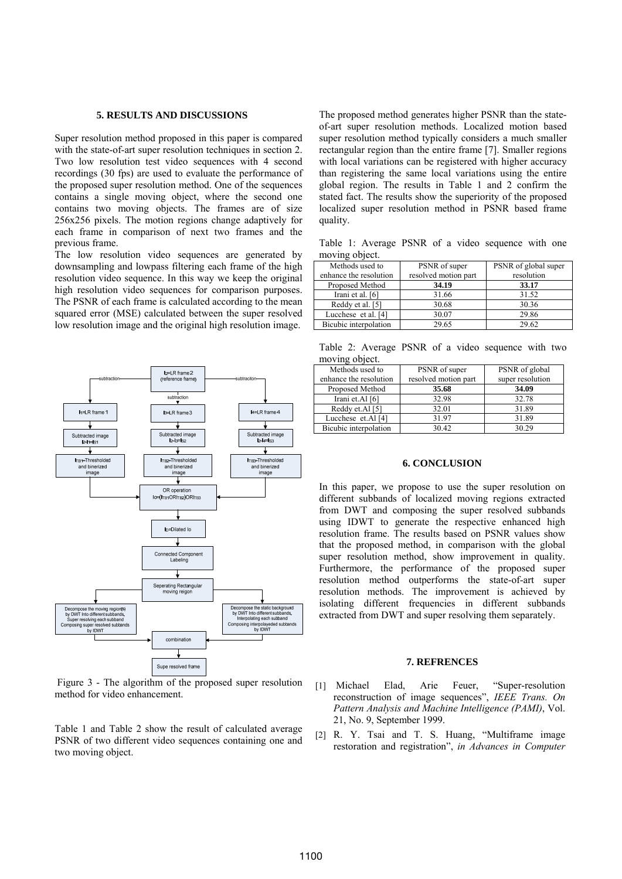## **5. RESULTS AND DISCUSSIONS**

Super resolution method proposed in this paper is compared with the state-of-art super resolution techniques in section 2. Two low resolution test video sequences with 4 second recordings (30 fps) are used to evaluate the performance of the proposed super resolution method. One of the sequences contains a single moving object, where the second one contains two moving objects. The frames are of size 256x256 pixels. The motion regions change adaptively for each frame in comparison of next two frames and the previous frame.

The low resolution video sequences are generated by downsampling and lowpass filtering each frame of the high resolution video sequence. In this way we keep the original high resolution video sequences for comparison purposes. The PSNR of each frame is calculated according to the mean squared error (MSE) calculated between the super resolved low resolution image and the original high resolution image.



 Figure 3 - The algorithm of the proposed super resolution method for video enhancement.

Table 1 and Table 2 show the result of calculated average PSNR of two different video sequences containing one and two moving object.

The proposed method generates higher PSNR than the stateof-art super resolution methods. Localized motion based super resolution method typically considers a much smaller rectangular region than the entire frame [7]. Smaller regions with local variations can be registered with higher accuracy than registering the same local variations using the entire global region. The results in Table 1 and 2 confirm the stated fact. The results show the superiority of the proposed localized super resolution method in PSNR based frame quality.

Table 1: Average PSNR of a video sequence with one moving object.

| Methods used to        | PSNR of super        | PSNR of global super |
|------------------------|----------------------|----------------------|
| enhance the resolution | resolved motion part | resolution           |
| Proposed Method        | 34.19                | 33.17                |
| Irani et al. [6]       | 31.66                | 31.52                |
| Reddy et al. [5]       | 30.68                | 30.36                |
| Lucchese et al. [4]    | 30.07                | 29.86                |
| Bicubic interpolation  | 29.65                | 29.62                |

Table 2: Average PSNR of a video sequence with two moving object.

| Methods used to        | PSNR of super        | PSNR of global   |
|------------------------|----------------------|------------------|
| enhance the resolution | resolved motion part | super resolution |
| Proposed Method        | 35.68                | 34.09            |
| Irani et.Al [6]        | 32.98                | 32.78            |
| Reddy et.Al [5]        | 32.01                | 31.89            |
| Lucchese et.Al [4]     | 31.97                | 31.89            |
| Bicubic interpolation  | 30.42                | 30.29            |

## **6. CONCLUSION**

In this paper, we propose to use the super resolution on different subbands of localized moving regions extracted from DWT and composing the super resolved subbands using IDWT to generate the respective enhanced high resolution frame. The results based on PSNR values show that the proposed method, in comparison with the global super resolution method, show improvement in quality. Furthermore, the performance of the proposed super resolution method outperforms the state-of-art super resolution methods. The improvement is achieved by isolating different frequencies in different subbands extracted from DWT and super resolving them separately.

## **7. REFRENCES**

- [1] Michael Elad, Arie Feuer, "Super-resolution reconstruction of image sequences", *IEEE Trans. On Pattern Analysis and Machine Intelligence (PAMI)*, Vol. 21, No. 9, September 1999.
- [2] R. Y. Tsai and T. S. Huang, "Multiframe image restoration and registration", *in Advances in Computer*